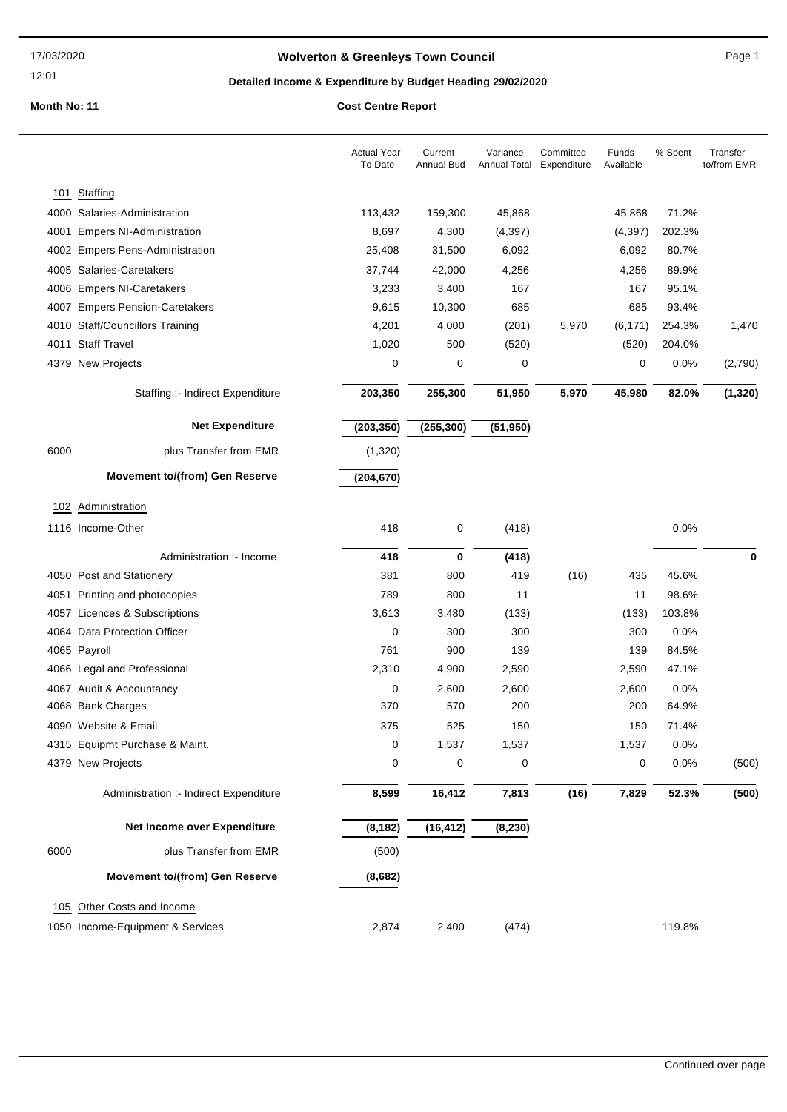## **Wolverton & Greenleys Town Council** Magnetic Page 1

## **Detailed Income & Expenditure by Budget Heading 29/02/2020**

|      |                                        | <b>Actual Year</b><br>To Date | Current<br>Annual Bud | Variance<br>Annual Total | Committed<br>Expenditure | Funds<br>Available | % Spent | Transfer<br>to/from EMR |
|------|----------------------------------------|-------------------------------|-----------------------|--------------------------|--------------------------|--------------------|---------|-------------------------|
|      | 101 Staffing                           |                               |                       |                          |                          |                    |         |                         |
|      | 4000 Salaries-Administration           | 113,432                       | 159,300               | 45,868                   |                          | 45,868             | 71.2%   |                         |
|      | 4001 Empers NI-Administration          | 8,697                         | 4,300                 | (4, 397)                 |                          | (4, 397)           | 202.3%  |                         |
|      | 4002 Empers Pens-Administration        | 25,408                        | 31,500                | 6,092                    |                          | 6,092              | 80.7%   |                         |
|      | 4005 Salaries-Caretakers               | 37,744                        | 42,000                | 4,256                    |                          | 4,256              | 89.9%   |                         |
|      | 4006 Empers NI-Caretakers              | 3,233                         | 3,400                 | 167                      |                          | 167                | 95.1%   |                         |
|      | 4007 Empers Pension-Caretakers         | 9,615                         | 10,300                | 685                      |                          | 685                | 93.4%   |                         |
|      | 4010 Staff/Councillors Training        | 4,201                         | 4,000                 | (201)                    | 5,970                    | (6, 171)           | 254.3%  | 1,470                   |
|      | 4011 Staff Travel                      | 1,020                         | 500                   | (520)                    |                          | (520)              | 204.0%  |                         |
|      | 4379 New Projects                      | 0                             | 0                     | 0                        |                          | 0                  | 0.0%    | (2,790)                 |
|      | Staffing :- Indirect Expenditure       | 203,350                       | 255,300               | 51,950                   | 5,970                    | 45,980             | 82.0%   | (1, 320)                |
|      | <b>Net Expenditure</b>                 | (203, 350)                    | (255, 300)            | (51, 950)                |                          |                    |         |                         |
| 6000 | plus Transfer from EMR                 | (1,320)                       |                       |                          |                          |                    |         |                         |
|      | <b>Movement to/(from) Gen Reserve</b>  | (204, 670)                    |                       |                          |                          |                    |         |                         |
|      | 102 Administration                     |                               |                       |                          |                          |                    |         |                         |
|      | 1116 Income-Other                      | 418                           | 0                     | (418)                    |                          |                    | 0.0%    |                         |
|      | Administration :- Income               | 418                           | $\bf{0}$              | (418)                    |                          |                    |         | 0                       |
|      | 4050 Post and Stationery               | 381                           | 800                   | 419                      | (16)                     | 435                | 45.6%   |                         |
|      | 4051 Printing and photocopies          | 789                           | 800                   | 11                       |                          | 11                 | 98.6%   |                         |
|      | 4057 Licences & Subscriptions          | 3,613                         | 3,480                 | (133)                    |                          | (133)              | 103.8%  |                         |
|      | 4064 Data Protection Officer           | 0                             | 300                   | 300                      |                          | 300                | 0.0%    |                         |
|      | 4065 Payroll                           | 761                           | 900                   | 139                      |                          | 139                | 84.5%   |                         |
|      | 4066 Legal and Professional            | 2,310                         | 4,900                 | 2,590                    |                          | 2,590              | 47.1%   |                         |
|      | 4067 Audit & Accountancy               | 0                             | 2,600                 | 2,600                    |                          | 2,600              | 0.0%    |                         |
|      | 4068 Bank Charges                      | 370                           | 570                   | 200                      |                          | 200                | 64.9%   |                         |
|      | 4090 Website & Email                   | 375                           | 525                   | 150                      |                          | 150                | 71.4%   |                         |
|      | 4315 Equipmt Purchase & Maint.         | 0                             | 1,537                 | 1,537                    |                          | 1,537              | 0.0%    |                         |
|      | 4379 New Projects                      | 0                             | 0                     | 0                        |                          | 0                  | 0.0%    | (500)                   |
|      | Administration :- Indirect Expenditure | 8,599                         | 16,412                | 7,813                    | (16)                     | 7,829              | 52.3%   | (500)                   |
|      | Net Income over Expenditure            | (8, 182)                      | (16, 412)             | (8, 230)                 |                          |                    |         |                         |
| 6000 | plus Transfer from EMR                 | (500)                         |                       |                          |                          |                    |         |                         |
|      | <b>Movement to/(from) Gen Reserve</b>  | (8,682)                       |                       |                          |                          |                    |         |                         |
|      | 105 Other Costs and Income             |                               |                       |                          |                          |                    |         |                         |
|      | 1050 Income-Equipment & Services       | 2,874                         | 2,400                 | (474)                    |                          |                    | 119.8%  |                         |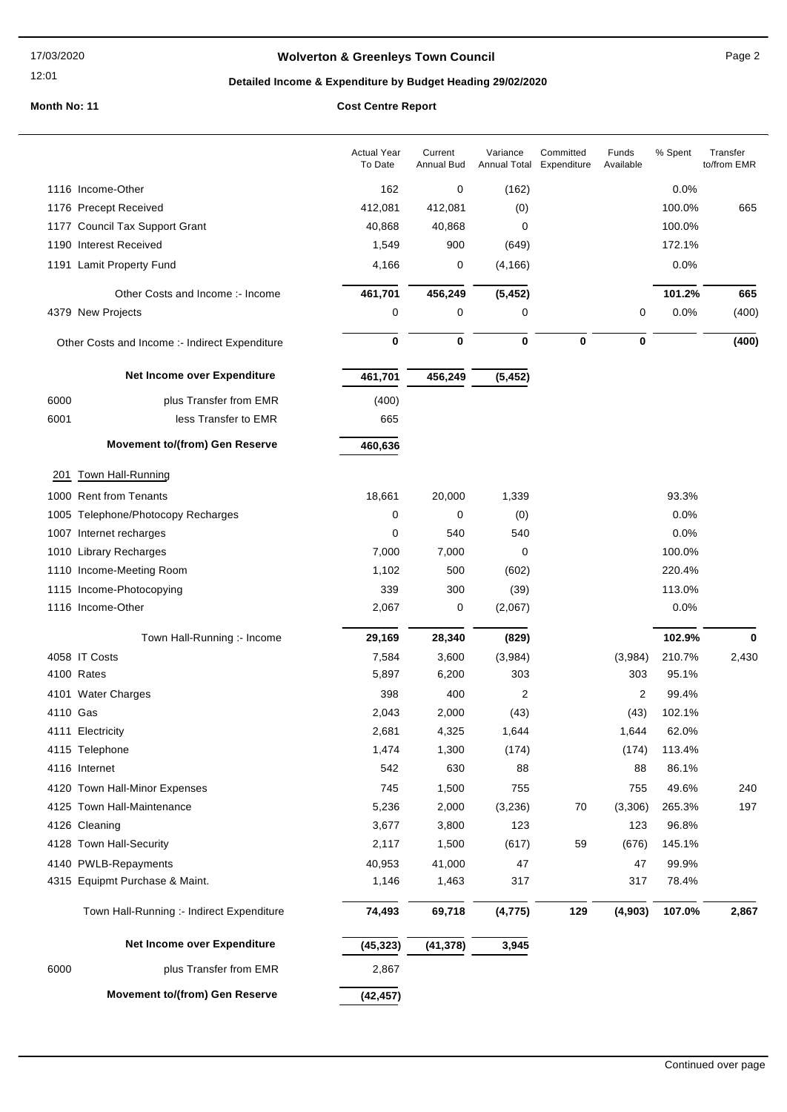## **Wolverton & Greenleys Town Council** Manual Page 2

## **Detailed Income & Expenditure by Budget Heading 29/02/2020**

|          |                                                | <b>Actual Year</b><br>To Date | Current<br><b>Annual Bud</b> | Variance<br>Annual Total | Committed<br>Expenditure | Funds<br>Available | % Spent | Transfer<br>to/from EMR |
|----------|------------------------------------------------|-------------------------------|------------------------------|--------------------------|--------------------------|--------------------|---------|-------------------------|
|          | 1116 Income-Other                              | 162                           | 0                            | (162)                    |                          |                    | 0.0%    |                         |
|          | 1176 Precept Received                          | 412,081                       | 412,081                      | (0)                      |                          |                    | 100.0%  | 665                     |
|          | 1177 Council Tax Support Grant                 | 40,868                        | 40,868                       | 0                        |                          |                    | 100.0%  |                         |
|          | 1190 Interest Received                         | 1,549                         | 900                          | (649)                    |                          |                    | 172.1%  |                         |
|          | 1191 Lamit Property Fund                       | 4,166                         | 0                            | (4, 166)                 |                          |                    | 0.0%    |                         |
|          | Other Costs and Income :- Income               | 461,701                       | 456,249                      | (5, 452)                 |                          |                    | 101.2%  | 665                     |
|          | 4379 New Projects                              | 0                             | 0                            | 0                        |                          | 0                  | 0.0%    | (400)                   |
|          |                                                |                               |                              |                          |                          |                    |         |                         |
|          | Other Costs and Income :- Indirect Expenditure | 0                             | 0                            | 0                        | $\bf{0}$                 | $\mathbf 0$        |         | (400)                   |
|          | Net Income over Expenditure                    | 461,701                       | 456,249                      | (5, 452)                 |                          |                    |         |                         |
| 6000     | plus Transfer from EMR                         | (400)                         |                              |                          |                          |                    |         |                         |
| 6001     | less Transfer to EMR                           | 665                           |                              |                          |                          |                    |         |                         |
|          |                                                |                               |                              |                          |                          |                    |         |                         |
|          | <b>Movement to/(from) Gen Reserve</b>          | 460,636                       |                              |                          |                          |                    |         |                         |
| 201      | Town Hall-Running                              |                               |                              |                          |                          |                    |         |                         |
|          | 1000 Rent from Tenants                         | 18,661                        | 20,000                       | 1,339                    |                          |                    | 93.3%   |                         |
|          | 1005 Telephone/Photocopy Recharges             | 0                             | 0                            | (0)                      |                          |                    | 0.0%    |                         |
|          | 1007 Internet recharges                        | 0                             | 540                          | 540                      |                          |                    | 0.0%    |                         |
|          | 1010 Library Recharges                         | 7,000                         | 7,000                        | $\mathbf 0$              |                          |                    | 100.0%  |                         |
|          | 1110 Income-Meeting Room                       | 1,102                         | 500                          | (602)                    |                          |                    | 220.4%  |                         |
|          | 1115 Income-Photocopying                       | 339                           | 300                          | (39)                     |                          |                    | 113.0%  |                         |
|          | 1116 Income-Other                              | 2,067                         | 0                            | (2,067)                  |                          |                    | 0.0%    |                         |
|          | Town Hall-Running :- Income                    | 29,169                        | 28,340                       | (829)                    |                          |                    | 102.9%  | 0                       |
|          | 4058 IT Costs                                  | 7,584                         | 3,600                        | (3,984)                  |                          | (3,984)            | 210.7%  | 2,430                   |
|          | 4100 Rates                                     | 5,897                         | 6,200                        | 303                      |                          | 303                | 95.1%   |                         |
|          | 4101 Water Charges                             | 398                           | 400                          | 2                        |                          | 2                  | 99.4%   |                         |
| 4110 Gas |                                                | 2,043                         | 2,000                        | (43)                     |                          | (43)               | 102.1%  |                         |
|          | 4111 Electricity                               | 2,681                         | 4,325                        | 1,644                    |                          | 1,644              | 62.0%   |                         |
|          | 4115 Telephone                                 | 1,474                         | 1,300                        | (174)                    |                          | (174)              | 113.4%  |                         |
|          | 4116 Internet                                  | 542                           | 630                          | 88                       |                          | 88                 | 86.1%   |                         |
|          | 4120 Town Hall-Minor Expenses                  | 745                           | 1,500                        | 755                      |                          | 755                | 49.6%   | 240                     |
|          | 4125 Town Hall-Maintenance                     | 5,236                         | 2,000                        | (3, 236)                 | 70                       | (3,306)            | 265.3%  | 197                     |
|          | 4126 Cleaning                                  | 3,677                         | 3,800                        | 123                      |                          | 123                | 96.8%   |                         |
|          | 4128 Town Hall-Security                        | 2,117                         | 1,500                        | (617)                    | 59                       | (676)              | 145.1%  |                         |
|          | 4140 PWLB-Repayments                           | 40,953                        | 41,000                       | 47                       |                          | 47                 | 99.9%   |                         |
|          | 4315 Equipmt Purchase & Maint.                 | 1,146                         | 1,463                        | 317                      |                          | 317                | 78.4%   |                         |
|          | Town Hall-Running :- Indirect Expenditure      | 74,493                        | 69,718                       | (4, 775)                 | 129                      | (4,903)            | 107.0%  | 2,867                   |
|          | Net Income over Expenditure                    | (45, 323)                     | (41, 378)                    | 3,945                    |                          |                    |         |                         |
| 6000     | plus Transfer from EMR                         | 2,867                         |                              |                          |                          |                    |         |                         |
|          | <b>Movement to/(from) Gen Reserve</b>          | (42, 457)                     |                              |                          |                          |                    |         |                         |
|          |                                                |                               |                              |                          |                          |                    |         |                         |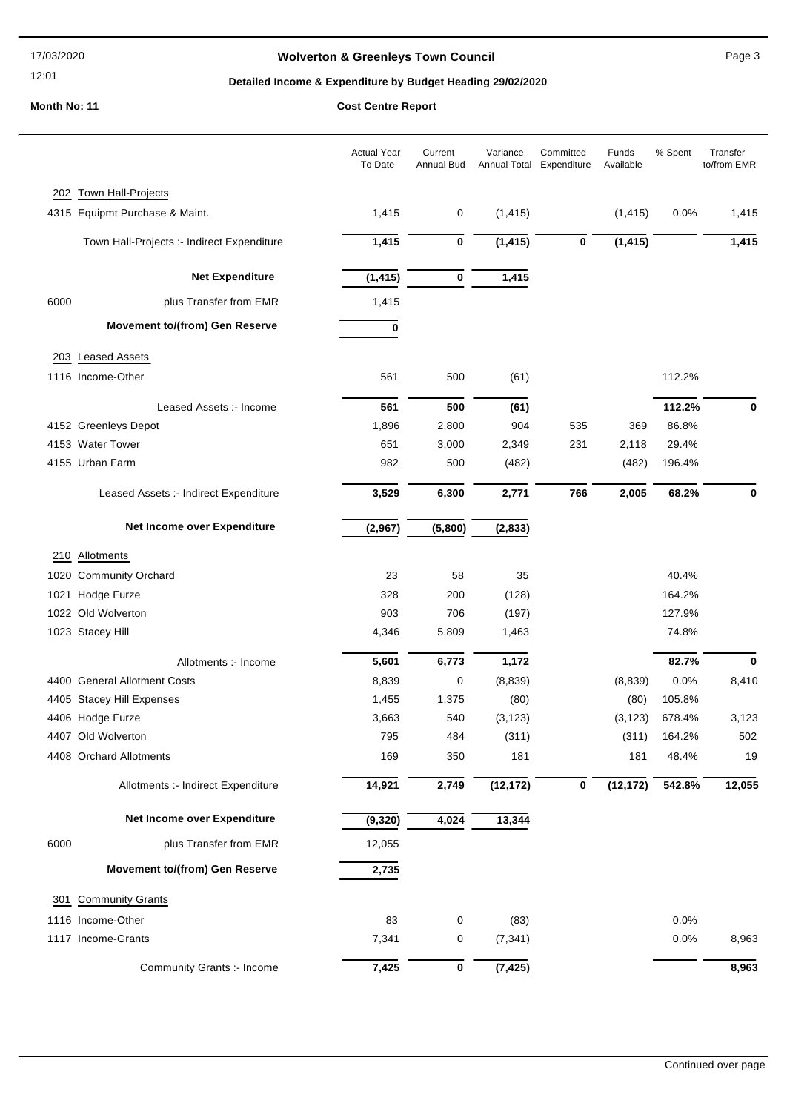#### 17/03/2020

12:01

## **Wolverton & Greenleys Town Council** Manual Page 3

## **Detailed Income & Expenditure by Budget Heading 29/02/2020**

|      |                                            | <b>Actual Year</b><br>To Date | Current<br><b>Annual Bud</b> | Variance<br><b>Annual Total</b> | Committed<br>Expenditure | Funds<br>Available | % Spent | Transfer<br>to/from EMR |
|------|--------------------------------------------|-------------------------------|------------------------------|---------------------------------|--------------------------|--------------------|---------|-------------------------|
|      | 202 Town Hall-Projects                     |                               |                              |                                 |                          |                    |         |                         |
|      | 4315 Equipmt Purchase & Maint.             | 1,415                         | 0                            | (1, 415)                        |                          | (1, 415)           | 0.0%    | 1,415                   |
|      | Town Hall-Projects :- Indirect Expenditure | 1,415                         | 0                            | (1, 415)                        | $\bf{0}$                 | (1, 415)           |         | 1,415                   |
|      | <b>Net Expenditure</b>                     | (1, 415)                      | 0                            | 1,415                           |                          |                    |         |                         |
| 6000 | plus Transfer from EMR                     | 1,415                         |                              |                                 |                          |                    |         |                         |
|      | <b>Movement to/(from) Gen Reserve</b>      | 0                             |                              |                                 |                          |                    |         |                         |
|      | 203 Leased Assets                          |                               |                              |                                 |                          |                    |         |                         |
|      | 1116 Income-Other                          | 561                           | 500                          | (61)                            |                          |                    | 112.2%  |                         |
|      |                                            |                               |                              |                                 |                          |                    |         |                         |
|      | Leased Assets :- Income                    | 561                           | 500                          | (61)                            |                          |                    | 112.2%  | 0                       |
|      | 4152 Greenleys Depot                       | 1,896                         | 2,800                        | 904                             | 535                      | 369                | 86.8%   |                         |
|      | 4153 Water Tower                           | 651                           | 3,000                        | 2,349                           | 231                      | 2,118              | 29.4%   |                         |
|      | 4155 Urban Farm                            | 982                           | 500                          | (482)                           |                          | (482)              | 196.4%  |                         |
|      | Leased Assets :- Indirect Expenditure      | 3,529                         | 6,300                        | 2,771                           | 766                      | 2,005              | 68.2%   | 0                       |
|      | Net Income over Expenditure                | (2,967)                       | (5,800)                      | (2, 833)                        |                          |                    |         |                         |
|      | 210 Allotments                             |                               |                              |                                 |                          |                    |         |                         |
|      | 1020 Community Orchard                     | 23                            | 58                           | 35                              |                          |                    | 40.4%   |                         |
|      | 1021 Hodge Furze                           | 328                           | 200                          | (128)                           |                          |                    | 164.2%  |                         |
|      | 1022 Old Wolverton                         | 903                           | 706                          | (197)                           |                          |                    | 127.9%  |                         |
|      | 1023 Stacey Hill                           | 4,346                         | 5,809                        | 1,463                           |                          |                    | 74.8%   |                         |
|      | Allotments :- Income                       | 5,601                         | 6,773                        | 1,172                           |                          |                    | 82.7%   | 0                       |
|      | 4400 General Allotment Costs               | 8,839                         | 0                            | (8,839)                         |                          | (8,839)            | 0.0%    | 8,410                   |
|      | 4405 Stacey Hill Expenses                  | 1,455                         | 1,375                        | (80)                            |                          | (80)               | 105.8%  |                         |
|      | 4406 Hodge Furze                           | 3,663                         | 540                          | (3, 123)                        |                          | (3, 123)           | 678.4%  | 3,123                   |
|      | 4407 Old Wolverton                         | 795                           | 484                          | (311)                           |                          | (311)              | 164.2%  | 502                     |
|      | 4408 Orchard Allotments                    | 169                           | 350                          | 181                             |                          | 181                | 48.4%   | 19                      |
|      | Allotments :- Indirect Expenditure         | 14,921                        | 2,749                        | (12, 172)                       | $\boldsymbol{0}$         | (12, 172)          | 542.8%  | 12,055                  |
|      | Net Income over Expenditure                | (9, 320)                      | 4,024                        | 13,344                          |                          |                    |         |                         |
| 6000 | plus Transfer from EMR                     | 12,055                        |                              |                                 |                          |                    |         |                         |
|      | <b>Movement to/(from) Gen Reserve</b>      | 2,735                         |                              |                                 |                          |                    |         |                         |
| 301  | <b>Community Grants</b>                    |                               |                              |                                 |                          |                    |         |                         |
|      | 1116 Income-Other                          | 83                            | 0                            | (83)                            |                          |                    | 0.0%    |                         |
|      | 1117 Income-Grants                         | 7,341                         | 0                            | (7, 341)                        |                          |                    | 0.0%    | 8,963                   |
|      | Community Grants :- Income                 | 7,425                         | 0                            | (7, 425)                        |                          |                    |         | 8,963                   |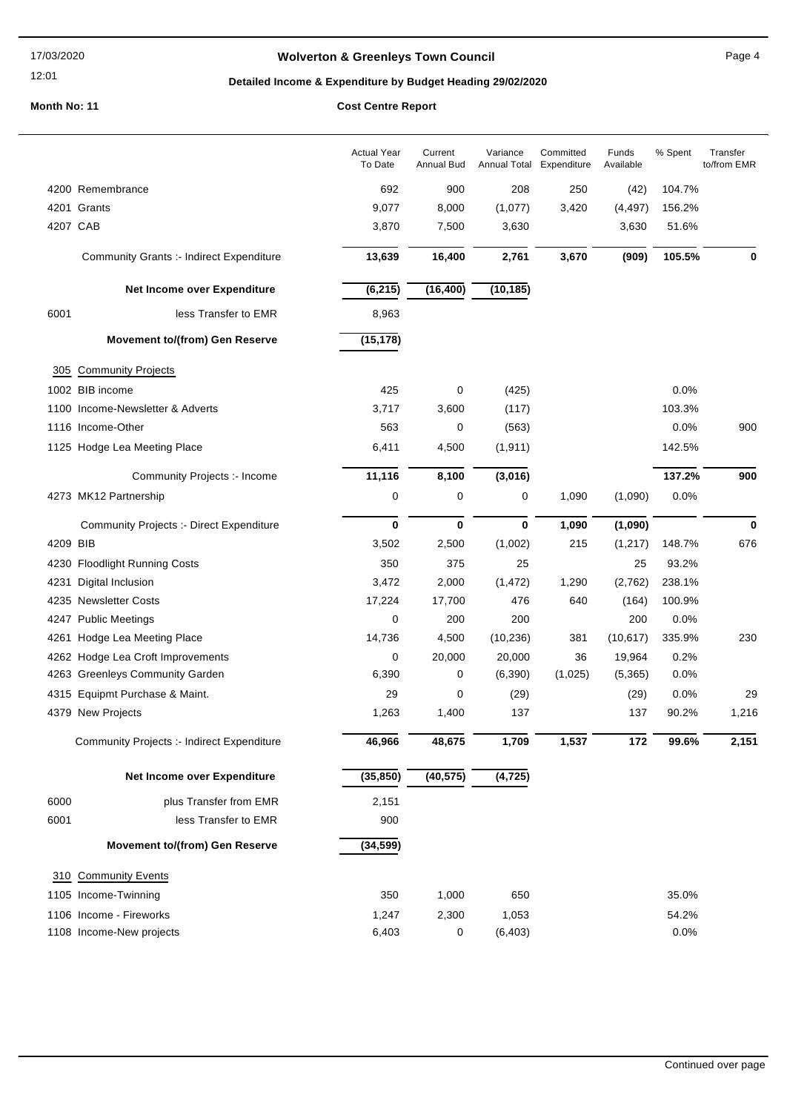#### 17/03/2020

# 12:01

## **Wolverton & Greenleys Town Council Contract Contract Contract Page 4**

## **Detailed Income & Expenditure by Budget Heading 29/02/2020**

|          |                                                 | <b>Actual Year</b><br>To Date | Current<br><b>Annual Bud</b> | Variance<br>Annual Total | Committed<br>Expenditure | Funds<br>Available | % Spent | Transfer<br>to/from EMR |
|----------|-------------------------------------------------|-------------------------------|------------------------------|--------------------------|--------------------------|--------------------|---------|-------------------------|
|          | 4200 Remembrance                                | 692                           | 900                          | 208                      | 250                      | (42)               | 104.7%  |                         |
|          | 4201 Grants                                     | 9,077                         | 8,000                        | (1,077)                  | 3,420                    | (4, 497)           | 156.2%  |                         |
|          | 4207 CAB                                        | 3,870                         | 7,500                        | 3,630                    |                          | 3,630              | 51.6%   |                         |
|          | Community Grants :- Indirect Expenditure        | 13,639                        | 16,400                       | 2,761                    | 3,670                    | (909)              | 105.5%  | $\bf{0}$                |
|          | Net Income over Expenditure                     | (6, 215)                      | (16, 400)                    | (10, 185)                |                          |                    |         |                         |
| 6001     | less Transfer to EMR                            | 8,963                         |                              |                          |                          |                    |         |                         |
|          | <b>Movement to/(from) Gen Reserve</b>           | (15, 178)                     |                              |                          |                          |                    |         |                         |
| 305      | <b>Community Projects</b>                       |                               |                              |                          |                          |                    |         |                         |
|          | 1002 BIB income                                 | 425                           | 0                            | (425)                    |                          |                    | 0.0%    |                         |
|          | 1100 Income-Newsletter & Adverts                | 3,717                         | 3,600                        | (117)                    |                          |                    | 103.3%  |                         |
|          | 1116 Income-Other                               | 563                           | 0                            | (563)                    |                          |                    | 0.0%    | 900                     |
|          | 1125 Hodge Lea Meeting Place                    | 6,411                         | 4,500                        | (1, 911)                 |                          |                    | 142.5%  |                         |
|          | Community Projects :- Income                    | 11,116                        | 8,100                        | (3,016)                  |                          |                    | 137.2%  | 900                     |
|          | 4273 MK12 Partnership                           | $\pmb{0}$                     | 0                            | 0                        | 1,090                    | (1,090)            | 0.0%    |                         |
|          | <b>Community Projects :- Direct Expenditure</b> | $\mathbf 0$                   | $\mathbf 0$                  | $\mathbf 0$              | 1,090                    | (1,090)            |         | $\bf{0}$                |
| 4209 BIB |                                                 | 3,502                         | 2,500                        | (1,002)                  | 215                      | (1,217)            | 148.7%  | 676                     |
|          | 4230 Floodlight Running Costs                   | 350                           | 375                          | 25                       |                          | 25                 | 93.2%   |                         |
| 4231     | Digital Inclusion                               | 3,472                         | 2,000                        | (1, 472)                 | 1,290                    | (2,762)            | 238.1%  |                         |
|          | 4235 Newsletter Costs                           | 17,224                        | 17,700                       | 476                      | 640                      | (164)              | 100.9%  |                         |
|          | 4247 Public Meetings                            | $\mathbf 0$                   | 200                          | 200                      |                          | 200                | 0.0%    |                         |
|          | 4261 Hodge Lea Meeting Place                    | 14,736                        | 4,500                        | (10, 236)                | 381                      | (10, 617)          | 335.9%  | 230                     |
|          | 4262 Hodge Lea Croft Improvements               | 0                             | 20,000                       | 20,000                   | 36                       | 19,964             | 0.2%    |                         |
|          | 4263 Greenleys Community Garden                 | 6,390                         | 0                            | (6, 390)                 | (1,025)                  | (5,365)            | 0.0%    |                         |
|          | 4315 Equipmt Purchase & Maint.                  | 29                            | 0                            | (29)                     |                          | (29)               | 0.0%    | 29                      |
|          | 4379 New Projects                               | 1,263                         | 1,400                        | 137                      |                          | 137                | 90.2%   | 1,216                   |
|          | Community Projects :- Indirect Expenditure      | 46,966                        | 48,675                       | 1,709                    | 1,537                    | 172                | 99.6%   | 2,151                   |
|          | Net Income over Expenditure                     | (35, 850)                     | (40, 575)                    | (4, 725)                 |                          |                    |         |                         |
| 6000     | plus Transfer from EMR                          | 2,151                         |                              |                          |                          |                    |         |                         |
| 6001     | less Transfer to EMR                            | 900                           |                              |                          |                          |                    |         |                         |
|          | <b>Movement to/(from) Gen Reserve</b>           | (34, 599)                     |                              |                          |                          |                    |         |                         |
|          | 310 Community Events                            |                               |                              |                          |                          |                    |         |                         |
|          | 1105 Income-Twinning                            | 350                           | 1,000                        | 650                      |                          |                    | 35.0%   |                         |
|          | 1106 Income - Fireworks                         | 1,247                         | 2,300                        | 1,053                    |                          |                    | 54.2%   |                         |
|          | 1108 Income-New projects                        | 6,403                         | 0                            | (6, 403)                 |                          |                    | 0.0%    |                         |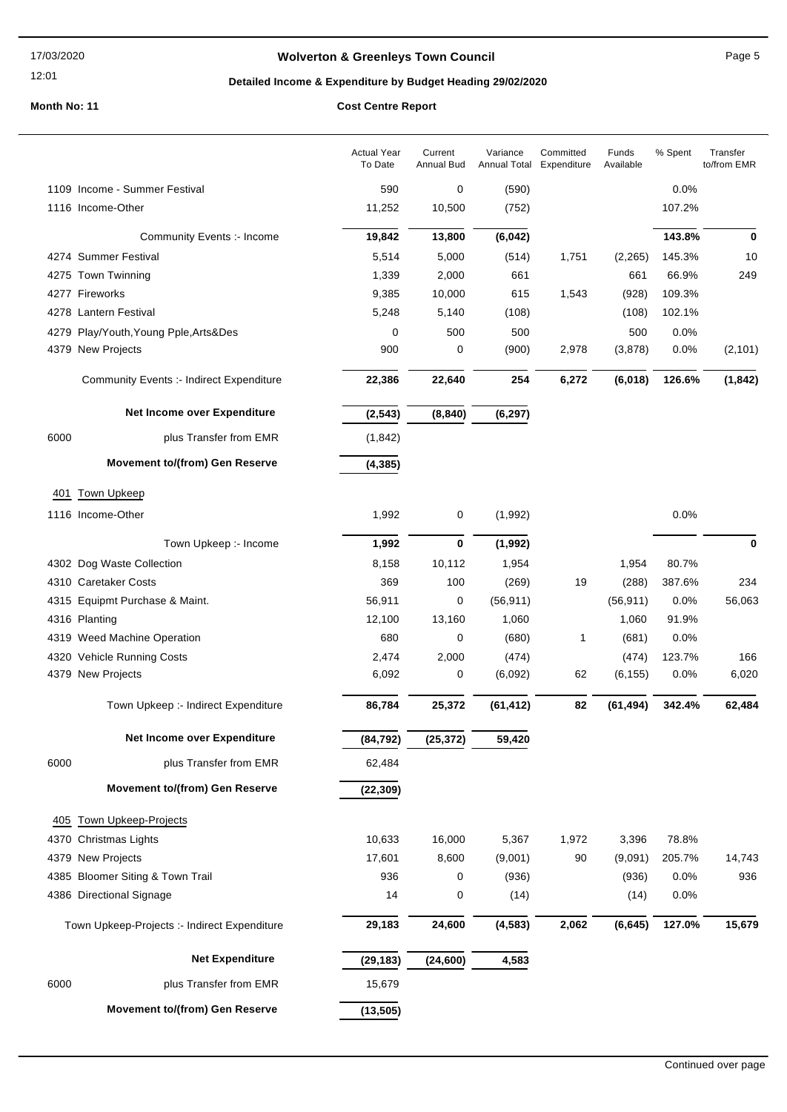## **Wolverton & Greenleys Town Council Page 5** Page 5

## **Detailed Income & Expenditure by Budget Heading 29/02/2020**

|      |                                                 | <b>Actual Year</b><br>To Date | Current<br><b>Annual Bud</b> | Variance<br>Annual Total | Committed<br>Expenditure | Funds<br>Available | % Spent | Transfer<br>to/from EMR |
|------|-------------------------------------------------|-------------------------------|------------------------------|--------------------------|--------------------------|--------------------|---------|-------------------------|
|      | 1109 Income - Summer Festival                   | 590                           | 0                            | (590)                    |                          |                    | 0.0%    |                         |
|      | 1116 Income-Other                               | 11,252                        | 10,500                       | (752)                    |                          |                    | 107.2%  |                         |
|      | Community Events :- Income                      | 19,842                        | 13,800                       | (6, 042)                 |                          |                    | 143.8%  | $\bf{0}$                |
|      | 4274 Summer Festival                            | 5,514                         | 5,000                        | (514)                    | 1,751                    | (2,265)            | 145.3%  | 10                      |
|      | 4275 Town Twinning                              | 1,339                         | 2,000                        | 661                      |                          | 661                | 66.9%   | 249                     |
|      | 4277 Fireworks                                  | 9,385                         | 10,000                       | 615                      | 1,543                    | (928)              | 109.3%  |                         |
|      | 4278 Lantern Festival                           | 5,248                         | 5,140                        | (108)                    |                          | (108)              | 102.1%  |                         |
|      | 4279 Play/Youth, Young Pple, Arts&Des           | 0                             | 500                          | 500                      |                          | 500                | 0.0%    |                         |
|      | 4379 New Projects                               | 900                           | 0                            | (900)                    | 2,978                    | (3,878)            | 0.0%    | (2, 101)                |
|      | <b>Community Events :- Indirect Expenditure</b> | 22,386                        | 22,640                       | 254                      | 6,272                    | (6,018)            | 126.6%  | (1, 842)                |
|      | Net Income over Expenditure                     | (2, 543)                      | (8, 840)                     | (6, 297)                 |                          |                    |         |                         |
| 6000 | plus Transfer from EMR                          | (1, 842)                      |                              |                          |                          |                    |         |                         |
|      | <b>Movement to/(from) Gen Reserve</b>           | (4, 385)                      |                              |                          |                          |                    |         |                         |
| 401  | <b>Town Upkeep</b>                              |                               |                              |                          |                          |                    |         |                         |
|      | 1116 Income-Other                               | 1,992                         | 0                            | (1,992)                  |                          |                    | 0.0%    |                         |
|      | Town Upkeep :- Income                           | 1,992                         | $\bf{0}$                     | (1, 992)                 |                          |                    |         | 0                       |
|      | 4302 Dog Waste Collection                       | 8,158                         | 10,112                       | 1,954                    |                          | 1,954              | 80.7%   |                         |
|      | 4310 Caretaker Costs                            | 369                           | 100                          | (269)                    | 19                       | (288)              | 387.6%  | 234                     |
|      | 4315 Equipmt Purchase & Maint.                  | 56,911                        | 0                            | (56, 911)                |                          | (56, 911)          | 0.0%    | 56,063                  |
|      | 4316 Planting                                   | 12,100                        | 13,160                       | 1,060                    |                          | 1,060              | 91.9%   |                         |
|      | 4319 Weed Machine Operation                     | 680                           | 0                            | (680)                    | 1                        | (681)              | 0.0%    |                         |
|      | 4320 Vehicle Running Costs                      | 2,474                         | 2,000                        | (474)                    |                          | (474)              | 123.7%  | 166                     |
|      | 4379 New Projects                               | 6,092                         | 0                            | (6,092)                  | 62                       | (6, 155)           | 0.0%    | 6,020                   |
|      | Town Upkeep :- Indirect Expenditure             | 86,784                        | 25,372                       | (61, 412)                | 82                       | (61, 494)          | 342.4%  | 62,484                  |
|      | Net Income over Expenditure                     | (84, 792)                     | (25, 372)                    | 59,420                   |                          |                    |         |                         |
| 6000 | plus Transfer from EMR                          | 62,484                        |                              |                          |                          |                    |         |                         |
|      | <b>Movement to/(from) Gen Reserve</b>           | (22, 309)                     |                              |                          |                          |                    |         |                         |
| 405  | <b>Town Upkeep-Projects</b>                     |                               |                              |                          |                          |                    |         |                         |
|      | 4370 Christmas Lights                           | 10,633                        | 16,000                       | 5,367                    | 1,972                    | 3,396              | 78.8%   |                         |
|      | 4379 New Projects                               | 17,601                        | 8,600                        | (9,001)                  | 90                       | (9,091)            | 205.7%  | 14,743                  |
|      | 4385 Bloomer Siting & Town Trail                | 936                           | 0                            | (936)                    |                          | (936)              | 0.0%    | 936                     |
|      | 4386 Directional Signage                        | 14                            | 0                            | (14)                     |                          | (14)               | 0.0%    |                         |
|      | Town Upkeep-Projects :- Indirect Expenditure    | 29,183                        | 24,600                       | (4, 583)                 | 2,062                    | (6, 645)           | 127.0%  | 15,679                  |
|      | <b>Net Expenditure</b>                          | (29, 183)                     | (24, 600)                    | 4,583                    |                          |                    |         |                         |
| 6000 | plus Transfer from EMR                          | 15,679                        |                              |                          |                          |                    |         |                         |
|      | Movement to/(from) Gen Reserve                  | (13, 505)                     |                              |                          |                          |                    |         |                         |